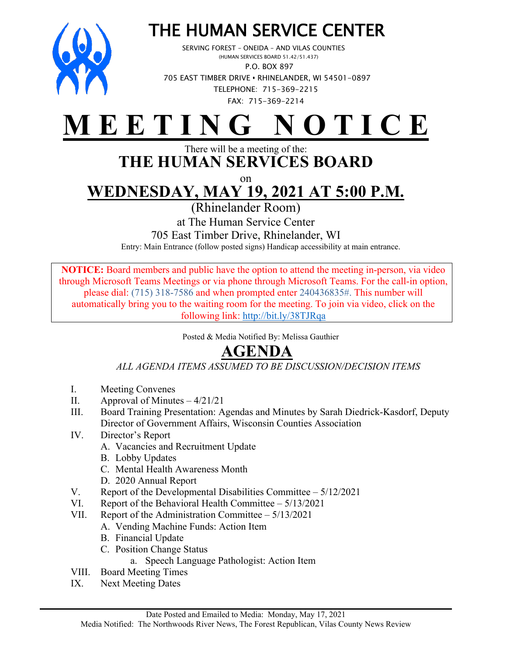

# THE HUMAN SERVICE CENTER<br>SERVING FOREST – ONEIDA – AND VILAS COUNTIES<br>(HUMAN SERVICES BOARD 51.42/51.437)

 P.O. BOX 897 705 EAST TIMBER DRIVE **•** RHINELANDER, WI 54501-0897 TELEPHONE: 715-369-2215 FAX: 715-369-2214

## **M E E T I N G N O T I C E**

#### There will be a meeting of the: **THE HUMAN SERVICES BOARD**

on

## **WEDNESDAY, MAY 19, 2021 AT 5:00 P.M.**

(Rhinelander Room)

at The Human Service Center

705 East Timber Drive, Rhinelander, WI

Entry: Main Entrance (follow posted signs) Handicap accessibility at main entrance.

**NOTICE:** Board members and public have the option to attend the meeting in-person, via video through Microsoft Teams Meetings or via phone through Microsoft Teams. For the call-in option, please dial: (715) 318-7586 and when prompted enter 240436835#. This number will automatically bring you to the waiting room for the meeting. To join via video, click on the following link: <http://bit.ly/38TJRqa>

Posted & Media Notified By: Melissa Gauthier

### **AGENDA**

*ALL AGENDA ITEMS ASSUMED TO BE DISCUSSION/DECISION ITEMS*

- I. Meeting Convenes
- II. Approval of Minutes  $-4/21/21$
- III. Board Training Presentation: Agendas and Minutes by Sarah Diedrick-Kasdorf, Deputy Director of Government Affairs, Wisconsin Counties Association
- IV. Director's Report
	- A. Vacancies and Recruitment Update
	- B. Lobby Updates
	- C. Mental Health Awareness Month
	- D. 2020 Annual Report
- V. Report of the Developmental Disabilities Committee 5/12/2021
- VI. Report of the Behavioral Health Committee 5/13/2021
- VII. Report of the Administration Committee 5/13/2021
	- A. Vending Machine Funds: Action Item
	- B. Financial Update
	- C. Position Change Status
		- a. Speech Language Pathologist: Action Item
- VIII. Board Meeting Times
- IX. Next Meeting Dates